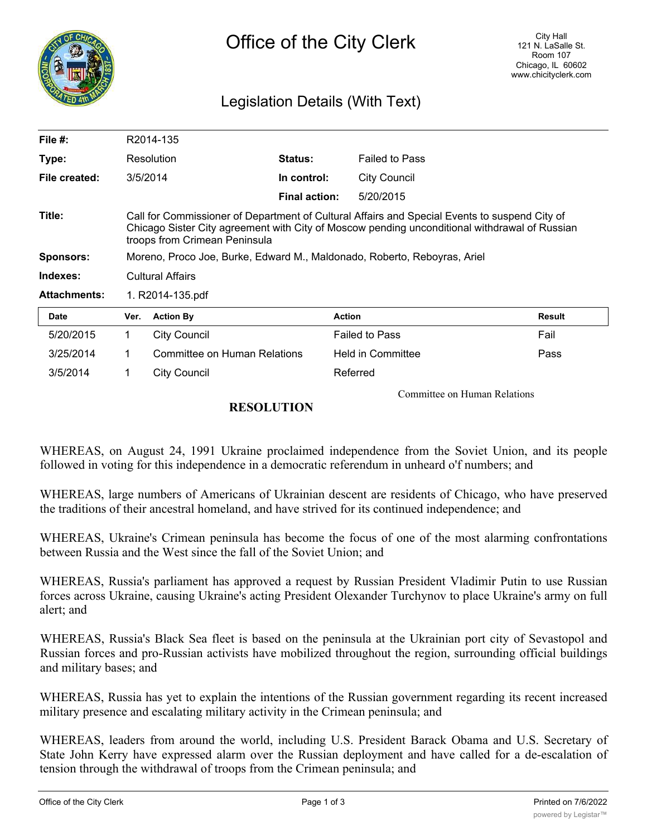

## Legislation Details (With Text)

| File $#$ :          | R2014-135                                                                                                                                                                                                                       |                                     |                      |                          |               |
|---------------------|---------------------------------------------------------------------------------------------------------------------------------------------------------------------------------------------------------------------------------|-------------------------------------|----------------------|--------------------------|---------------|
| Type:               |                                                                                                                                                                                                                                 | Resolution                          | <b>Status:</b>       | <b>Failed to Pass</b>    |               |
| File created:       | 3/5/2014                                                                                                                                                                                                                        |                                     | In control:          | <b>City Council</b>      |               |
|                     |                                                                                                                                                                                                                                 |                                     | <b>Final action:</b> | 5/20/2015                |               |
| Title:              | Call for Commissioner of Department of Cultural Affairs and Special Events to suspend City of<br>Chicago Sister City agreement with City of Moscow pending unconditional withdrawal of Russian<br>troops from Crimean Peninsula |                                     |                      |                          |               |
| <b>Sponsors:</b>    | Moreno, Proco Joe, Burke, Edward M., Maldonado, Roberto, Reboyras, Ariel                                                                                                                                                        |                                     |                      |                          |               |
| Indexes:            | <b>Cultural Affairs</b>                                                                                                                                                                                                         |                                     |                      |                          |               |
| <b>Attachments:</b> | 1. R2014-135.pdf                                                                                                                                                                                                                |                                     |                      |                          |               |
| <b>Date</b>         | Ver.                                                                                                                                                                                                                            | <b>Action By</b>                    |                      | <b>Action</b>            | <b>Result</b> |
| 5/20/2015           |                                                                                                                                                                                                                                 | <b>City Council</b>                 |                      | <b>Failed to Pass</b>    | Fail          |
| 3/25/2014           |                                                                                                                                                                                                                                 | <b>Committee on Human Relations</b> |                      | <b>Held in Committee</b> | Pass          |
| 3/5/2014            |                                                                                                                                                                                                                                 | <b>City Council</b>                 |                      | Referred                 |               |

Committee on Human Relations

## **RESOLUTION**

WHEREAS, on August 24, 1991 Ukraine proclaimed independence from the Soviet Union, and its people followed in voting for this independence in a democratic referendum in unheard o'f numbers; and

WHEREAS, large numbers of Americans of Ukrainian descent are residents of Chicago, who have preserved the traditions of their ancestral homeland, and have strived for its continued independence; and

WHEREAS, Ukraine's Crimean peninsula has become the focus of one of the most alarming confrontations between Russia and the West since the fall of the Soviet Union; and

WHEREAS, Russia's parliament has approved a request by Russian President Vladimir Putin to use Russian forces across Ukraine, causing Ukraine's acting President Olexander Turchynov to place Ukraine's army on full alert; and

WHEREAS, Russia's Black Sea fleet is based on the peninsula at the Ukrainian port city of Sevastopol and Russian forces and pro-Russian activists have mobilized throughout the region, surrounding official buildings and military bases; and

WHEREAS, Russia has yet to explain the intentions of the Russian government regarding its recent increased military presence and escalating military activity in the Crimean peninsula; and

WHEREAS, leaders from around the world, including U.S. President Barack Obama and U.S. Secretary of State John Kerry have expressed alarm over the Russian deployment and have called for a de-escalation of tension through the withdrawal of troops from the Crimean peninsula; and